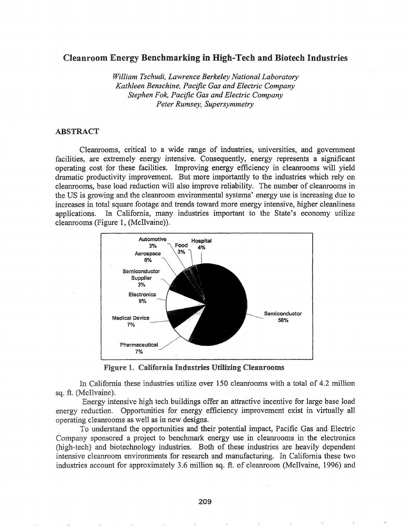### Cleanroom Energy Benchmarking in High-Tech and Biotech Industries

*William Tschudi, Lawrence Berkeley National Laboratory Kathleen Benschine, Pacific Gas and Electric Company Stephen Fok, Pacific Gas and Electric Company Peter Rumsey, Supersymmetry*

#### ABSTRACT

Cleanrooms, critical to a wide range of industries, universities, and government facilities, are extremely energy intensive. Consequently, energy represents a significant operating cost for these facilities. Improving energy efficiency in cleanrooms will yield dramatic productivity improvement. But more importantly to the industries which rely on cleanrooms, base load reduction will also improve reliability. The number of cleanrooms in the US is growing and the cleanroom environmental systems' energy use is increasing due to increases in total square footage and trends toward more energy intensive, higher cleanliness applications. In California, many industries important to the State's economy utilize cleanrooms (Figure 1, (McIlvaine)).



Figure 1. California Industries Utilizing Cleanrooms

California these industries utilize over 150 cleanrooms with a total of 4.2 million sq. ft. (McIlvaine).

Energy intensive high tech buildings offer an attractive incentive for large base load energy reduction. Opportunities for energy efficiency improvement exist in virtually all operating cleanrooms as well as in new designs.

To understand the opportunities and their potential impact, Pacific Gas and Electric Company sponsored a project to benchmark energy use in cleanrooms in the electronics (high-tech) and biotechnology industries. Both of these industries are heavily dependent intensive cleanroom environments for research and manufacturing.. In California these two industries account for approximately 3.6 million sq. ft. of cleanroom (McIlvaine, 1996) and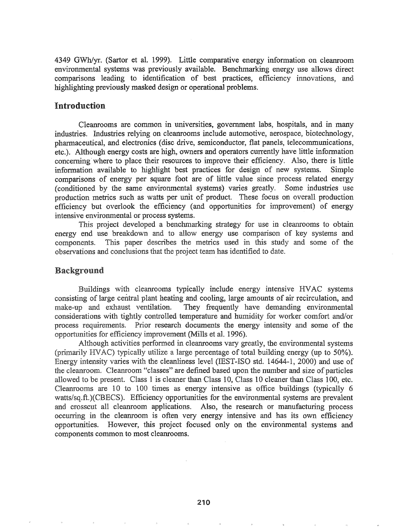4349 GWh/yr. (Sartor et al. 1999). Little comparative energy information on cleanroom environmental systems was previously available. Benchmarking energy use allows direct comparisons leading to identification of best practices, efficiency innovations, and highlighting previously masked design or operational problems.

#### Introduction

Cleanrooms are common in universities, government labs, hospitals, and in many industries. Industries relying on cleanrooms include automotive, aerospace, biotechnology, pharmaceutical, and electronics (disc drive, semiconductor, flat panels, telecommunications, etc.). Although energy costs are high, owners and operators currently have little information concerning where to place their resources to improve their efficiency. Also, there is little information available to highlight best practices for design of new systems. Simple comparisons of energy per square foot are of little value since process related energy (conditioned by the same environmental systems) varies greatly. Some industries use production metrics such as watts per unit of product. These focus on overall production efficiency but overlook the efficiency (and opportunities for improvement) of energy intensive environmental or process systems.

This project developed a benchmarking strategy for use in clean rooms to obtain energy end use breakdown and to allow energy use comparison of key systems and This paper describes the metrics used in this study and some of the components. observations and conclusions that the project team has identified to date.

#### **Background**

Buildings with cleanrooms typically include energy intensive HVAC systems consisting of large central plant heating and cooling, large amounts of air recirculation, and make-up and exhaust ventilation. They frequently have demanding environmental considerations with tightly controlled temperature and humidity for worker comfort and/or process requirements. Prior research documents the energy intensity and some of the opportunities for efficiency improvement (Mills et al. 1996).

Although activities performed in cleanrooms vary greatly, the environmental systems (primarily HVAC) typically utilize a large percentage of total building energy (up to 50%). Energy intensity varies with the cleanliness level (IEST-ISO std. 14644-1, 2000) and use of the cleanroom. Cleanroom "classes" are defined based upon the number and size of particles allowed to be present. Class 1 is cleaner than Class 10, Class 10 cleaner than Class 100, etc. Cleanrooms are 10 to 100 times as energy intensive as office buildings (typically 6) watts/sq.ft.)(CBECS). Efficiency opportunities for the environmental systems are prevalent and crosscut all cleanroom applications. Also, the research or manufacturing process occurring in the cleanroom is often very energy intensive and has its own efficiency opportunities. However, this project focused only on the environmental systems and components common to most cleanrooms.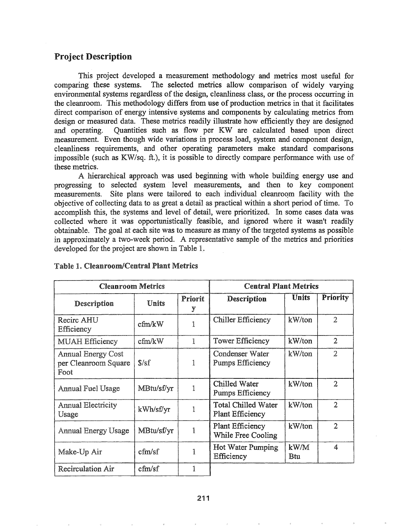# Project Description

This project developed a measurement methodology and metrics most useful for comparing these systems. The selected metrics allow comparison of widely varying environmental systems regardless ofthe design, cleanliness class, or the process occurring in the cleanroom. This methodology differs from use of production metrics in that it facilitates direct comparison of energy intensive systems and components by calculating metrics from design or measured data. These metrics readily illustrate how efficiently they are designed and operating. Quantities such as flow per KW are calculated based upon direct measurement. Even though wide variations in process load, system and component design, cleanliness requirements, and other operating parameters make standard comparisons impossible (such as KW/sq. ft.), it is possible to directly compare performance with use of these metrics.

A hierarchical approach was used beginning with whole building energy use and progressing to selected system' level measurements, and then to key component measurements. Site plans were tailored to each individual cleanroom facility with the objective of collecting data to as great a detail as practical within a short period oftime. To accomplish this, the systems and level of detail, were prioritized. In some cases data was collected where it was opportunistically feasible, and ignored where it wasn't readily obtainable. The goal at each site was to measure as many of the targeted systems as possible approximately a two-week period. A representative sample of the metrics and priorities developed for the project are shown in Table 1.

| <b>Cleanroom Metrics</b>                                  |            |              | <b>Central Plant Metrics</b>                          |                       |                 |
|-----------------------------------------------------------|------------|--------------|-------------------------------------------------------|-----------------------|-----------------|
| Description                                               | Units      | Priorit<br>y | <b>Description</b>                                    | <b>Units</b>          | <b>Priority</b> |
| Recirc AHU<br>Efficiency                                  | cfm/kW     | 1            | <b>Chiller Efficiency</b>                             |                       | $\overline{2}$  |
| <b>MUAH Efficiency</b>                                    | cfm/kW     | 1            | <b>Tower Efficiency</b>                               | kW/ton                | $\overline{2}$  |
| <b>Annual Energy Cost</b><br>per Cleanroom Square<br>Foot | S/sf       |              | Condenser Water<br>Pumps Efficiency                   | kW/ton                | $\overline{2}$  |
| <b>Annual Fuel Usage</b>                                  | MBtu/sf/yr | 1            | Chilled Water<br><b>Pumps Efficiency</b>              | kW/ton                | $\overline{2}$  |
| Annual Electricity<br>Usage                               | kWh/sf/yr  |              | <b>Total Chilled Water</b><br><b>Plant Efficiency</b> | kW/ton                | $\overline{2}$  |
| <b>Annual Energy Usage</b>                                | MBtu/sf/yr |              | Plant Efficiency<br>While Free Cooling                | kW/ton                | $\overline{2}$  |
| Make-Up Air                                               | cfm/sf     |              | <b>Hot Water Pumping</b><br>Efficiency                | $k$ W/M<br><b>Btu</b> | 4               |
| <b>Recirculation Air</b>                                  | cfm/sf     |              |                                                       |                       |                 |

#### Table 1. Cleanroom/Central Plant Metrics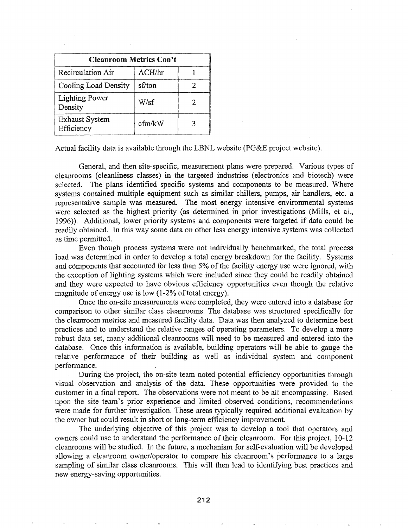| <b>Cleanroom Metrics Con't</b>      |                |  |  |  |  |
|-------------------------------------|----------------|--|--|--|--|
| Recirculation Air                   | $\rm{ACH}$ /hr |  |  |  |  |
| Cooling Load Density                | sf/ton         |  |  |  |  |
| <b>Lighting Power</b><br>Density    | W/sf           |  |  |  |  |
| <b>Exhaust System</b><br>Efficiency | cfm/kW         |  |  |  |  |

Actual facility data is available through the LBNL website  $(PG\&E)$  project website).

General, and then site-specific, measurement plans were prepared. Various types of cleanrooms (cleanliness classes) in the targeted industries (electronics and biotech) were selected. The plans identified specific systems and components to be measured. Where systems contained multiple equipment such as similar chillers, pumps, air handlers, etc. a representative sample was measured. The most energy intensive environmental systems were selected as the highest priority (as determined in prior investigations (Mills, et aI., 1996»). Additional, lower priority systems and components were targeted if data could be readily obtained. In this way some data on other less energy intensive systems was collected as time permitted.

Even though process systems were not individually benchmarked, the total process load was determined in order to develop a total energy breakdown for the facility. Systems and components that accounted for less than 5% of the facility energy use were ignored, with the exception of lighting systems which were included since they could be readily obtained and they were expected to have obvious efficiency opportunities even though the relative magnitude of energy use is low  $(1-2\% \text{ of total energy}).$ 

Once the on-site measurements were completed, they were entered into a database for comparison to other similar class cleanrooms. The database was structured specifically for the cleanroom metrics and measured facility data. Data was then analyzed to determine best practices and to understand the relative ranges of operating parameters. To develop a more robust data set, many additional cleanrooms will need to be measured and entered into the database. Once this information is available, building operators will be able to gauge the relative performance of their building as well as individual system and component performance.

During the project, the on-site team noted potential efficiency opportunities through visual observation and analysis of the data. These opportunities were provided to the customer in a final report. The observations were not meant to be all encompassing. Based upon the site team's prior experience and limited observed conditions, recommendations were made for further investigation. These areas typically required additional evaluation by the owner but could result in short or long-term efficiency improvement.

The underlying objective of this project was to develop a tool that operators and owners could use to understand the performance of their cleanroom. For this project, 10-12 cleanrooms will be studied. In the future, a mechanism for self-evaluation will be developed allowing a cleanroom owner/operator to compare his cleanroom's perfonnance to a large sampling of similar class cleanrooms. This will then lead to identifying best practices and new energy-saving opportunities.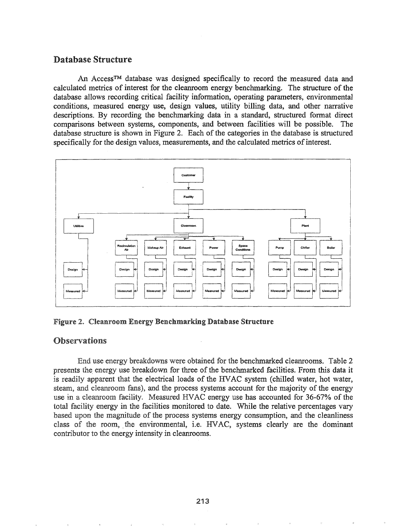# Database Structure

An Access™ database was designed specifically to record the measured data and calculated metrics of interest for the cleanroom energy benchmarking. The structure of the database allows recording critical facility information, operating parameters, environmental conditions, measured energy use, design values, utility billing data, and other narrative descriptions. By recording the benchmarking data in a standard, structured format direct comparisons between systems, components, and between facilities will be possible. The database structure is shown in Figure 2. Each of the categories in the database is structured specifically for the design values, measurements, and the calculated metrics of interest.



Figure 2. Cleanroom Energy Benchmarking Database Structure

## **Observations**

End use energy breakdowns were obtained for the benchmarked cleanrooms. Table 2 presents the energy use breakdown for three of the benchmarked facilities. From this data it is readily apparent that the electrical loads of the HVAC system (chilled water, hot water, steam, and cleanroom fans), and the process systems account for the majority of the energy use in a cleanroom facility. Measured HVAC energy use has accounted for 36-67% of the total facility energy in the facilities monitored to date. While the relative percentages vary based the magnitude of the process systems energy consumption, and the cleanliness class of the room, the environmental, i.e. HVAC, systems clearly are the dominant contributor to the energy intensity in cleanrooms.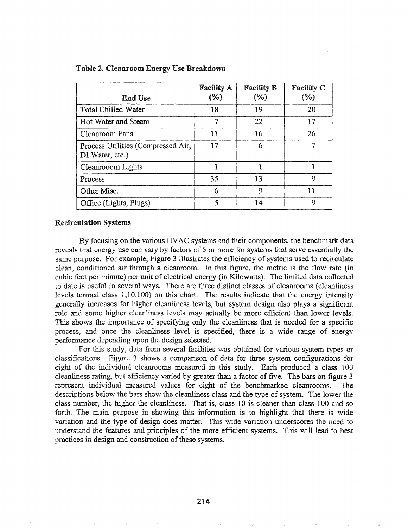| <b>End Use</b>                                        | <b>Facility A</b><br>$(\%)$ | <b>Facility B</b><br>(%) | Facility C<br>(%) |
|-------------------------------------------------------|-----------------------------|--------------------------|-------------------|
| <b>Total Chilled Water</b>                            | 18                          | 19                       | 20                |
| Hot Water and Steam                                   |                             | 22                       | 17                |
| Cleanroom Fans                                        | 11                          | 16                       | 26                |
| Process Utilities (Compressed Air,<br>DI Water, etc.) | 17                          | 6                        |                   |
| Cleanrooom Lights                                     |                             |                          |                   |
| Process                                               | 35                          | 13                       | 9                 |
| Other Misc.                                           | 6                           | 9                        | 11                |
| Office (Lights, Plugs)                                |                             | 14                       | 9                 |

#### Table 2. Cleanroom Energy Use Breakdown

#### Recirculation Systems

By focusing on the various HVAC systems and their components, the benchmark data reveals that energy use can vary by factors of 5 or more for systems that serve essentially the same purpose. For example, Figure 3 illustrates the efficiency of systems used to recirculate clean, conditioned air through a cleanroom. In this figure, the metric is the flow rate (in cubic feet per minute) per unit of electrical energy (in Kilowatts). The limited data collected to date is useful in several ways. There are three distinct classes of cleanrooms (cleanliness levels termed class  $1,10,100$  on this chart. The results indicate that the energy intensity generally increases for higher cleanliness levels, but system design also plays a significant role and some higher cleanliness levels may actually be more efficient than lower levels. This shows the importance of specifying only the cleanliness that is needed for a specific process, and once the cleanliness level is specified, there is a wide range of energy performance depending upon the design selected.

For this study, data from several facilities was obtained for various system types or classifications. Figure 3 shows a comparison of data for three system configurations for eight of the individual cleanrooms measured in this study. Each produced a class 100 cleanliness rating, but efficiency varied by greater than a factor of five. The bars on figure 3 represent individual measured values for eight of the benchmarked cleanrooms. The descriptions below the bars show the cleanliness class and the type of system. The lower the class number, the higher the cleanliness. That is, class 10 is cleaner than class 100 and so forth. The main purpose in showing this information is to highlight that there is wide variation and the type of design does matter. This wide variation underscores the need to understand the features and principles of the more efficient systems. This will lead to best practices in design and construction of these systems.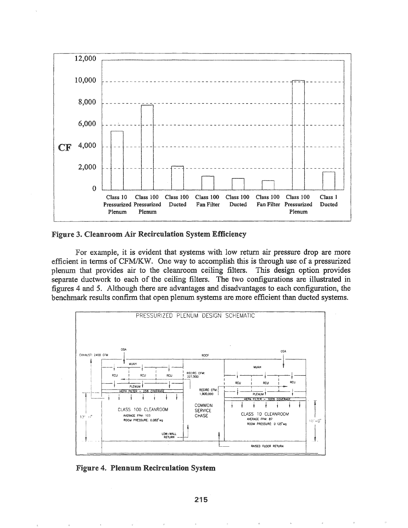

Figure 3. Cleanroom Air Recirculation System Efficiency

For example, it is evident that systems with low return air pressure drop are more efficient in terms of CFM/KW. One way to accomplish this is through use of a pressurized plenum that provides air to the cleanroom ceiling filters. This design option provides separate ductwork to each of the ceiling filters. The two configurations are illustrated in figures 4 and 5. Although there are advantages and disadvantages to each configuration, the benchmark results confirm that open plenum systems are more efficient than ducted systems.



Figure 4. Plennum Recirculation System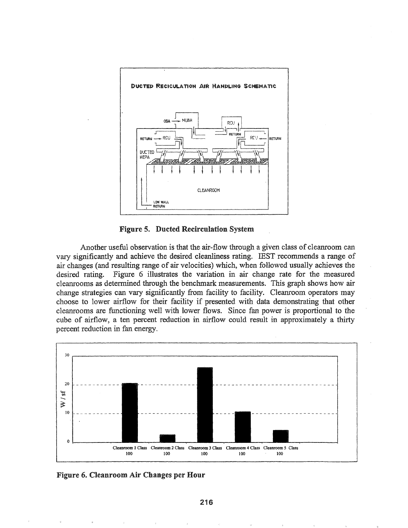

**Figure 5. Ducted Recirculation System** 

Another useful observation is that the air-flow through a given class of cleanroom can vary significantly and achieve the desired cleanliness rating. IEST recommends a range of air changes (and resulting range of air velocities) which, when followed usually achieves the Figure 6 illustrates the variation in air change rate for the measured desired rating. cleanrooms as determined through the benchmark measurements. This graph shows how air change strategies can vary significantly from facility to facility. Cleanroom operators may choose to lower airflow for their facility if presented with data demonstrating that other cleanrooms are functioning well with lower flows. Since fan power is proportional to the cube of airflow, a ten percent reduction in airflow could result in approximately a thirty percent reduction in fan energy.



Figure 6. Cleanroom Air Changes per Hour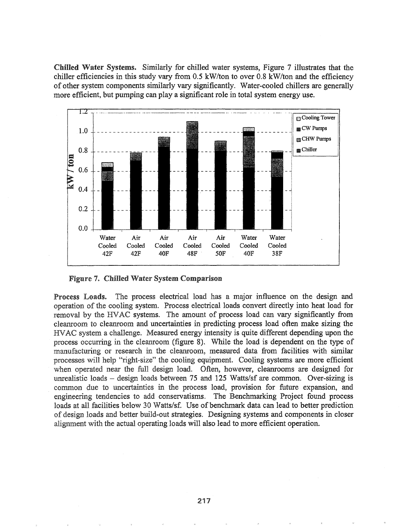Chilled Water Systems. Similarly for chilled water systems, Figure 7 illustrates that the chiller efficiencies in this study vary from 0.5 kW/ton to over 0.8 *kW/ton* and the efficiency of other system components similarly vary significantly. Water-cooled· chillers are generally more efficient, but pumping can playa significant role in total system energy use.



Figure 7. Chilled Water System Comparison

Process Loads. The process electrical load has a major influence on the design and operation of the cooling system. Process electrical loads convert directly into heat load for removal by the HVAC systems. The amount of process load can vary significantly from cleanroom to cleanroom and uncertainties in predicting process load often make sizing the HVAC system a challenge. Measured energy intensity is quite different depending upon the process occurring in the cleanroom (figure 8). While the load is dependent on the type of manufacturing or research in the cleanroom, measured data from facilities with similar processes will help "right-size" the cooling equipment. Cooling systems are more efficient when operated near the full design load. Often, however, cleanrooms are designed for unrealistic loads – design loads between 75 and 125 Watts/sf are common. Over-sizing is common due to uncertainties in the process load, provision for future expansion, and engineering tendencies to add conservatisms. The Benchmarking Project found process loads at all facilities below 30 Watts/sf. Use of benchmark data can lead to better prediction of design loads and better build-out strategies. Designing systems and components in closer alignment with the actual operating loads will also lead to more efficient operation.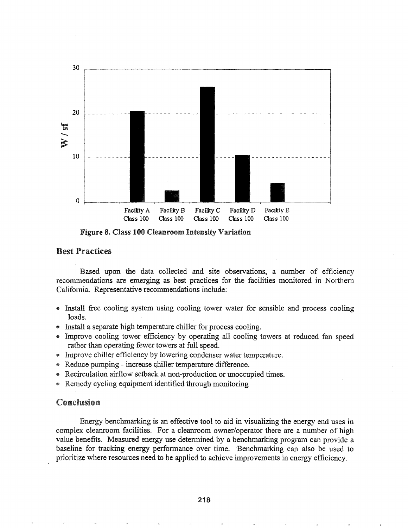

Figure 8. Class 100 Cleanroom Intensity Variation

# Best Practices

Based upon the data collected and site observations, a number of efficiency recommendations are emerging as best practices for the facilities monitored in Northern California. Representative recommendations include:

- Install free cooling system using cooling tower water for sensible and process cooling loads.
- Install a separate high temperature chiller for process cooling.
- Improve cooling tower efficiency by operating all cooling towers at reduced fan speed rather than operating fewer towers at full speed.
- Improve chiller efficiency by lowering condenser water temperature.
- Reduce pumping increase chiller temperature difference.
- Recirculation airflow setback at non-production or unoccupied times.
- Remedy cycling equipment identified through monitoring

# Conclusion

Energy benchmarking is an effective tool to aid in visualizing the energy end uses in complex cleanroom facilities. For a cleanroom owner/operator there are a number of high value benefits. Measured energy use determined by a benchmarking program can provide a baseline for tracking energy performance over time. Benchmarking can also be used to prioritize where resources need to be applied to achieve improvements in energy efficiency.